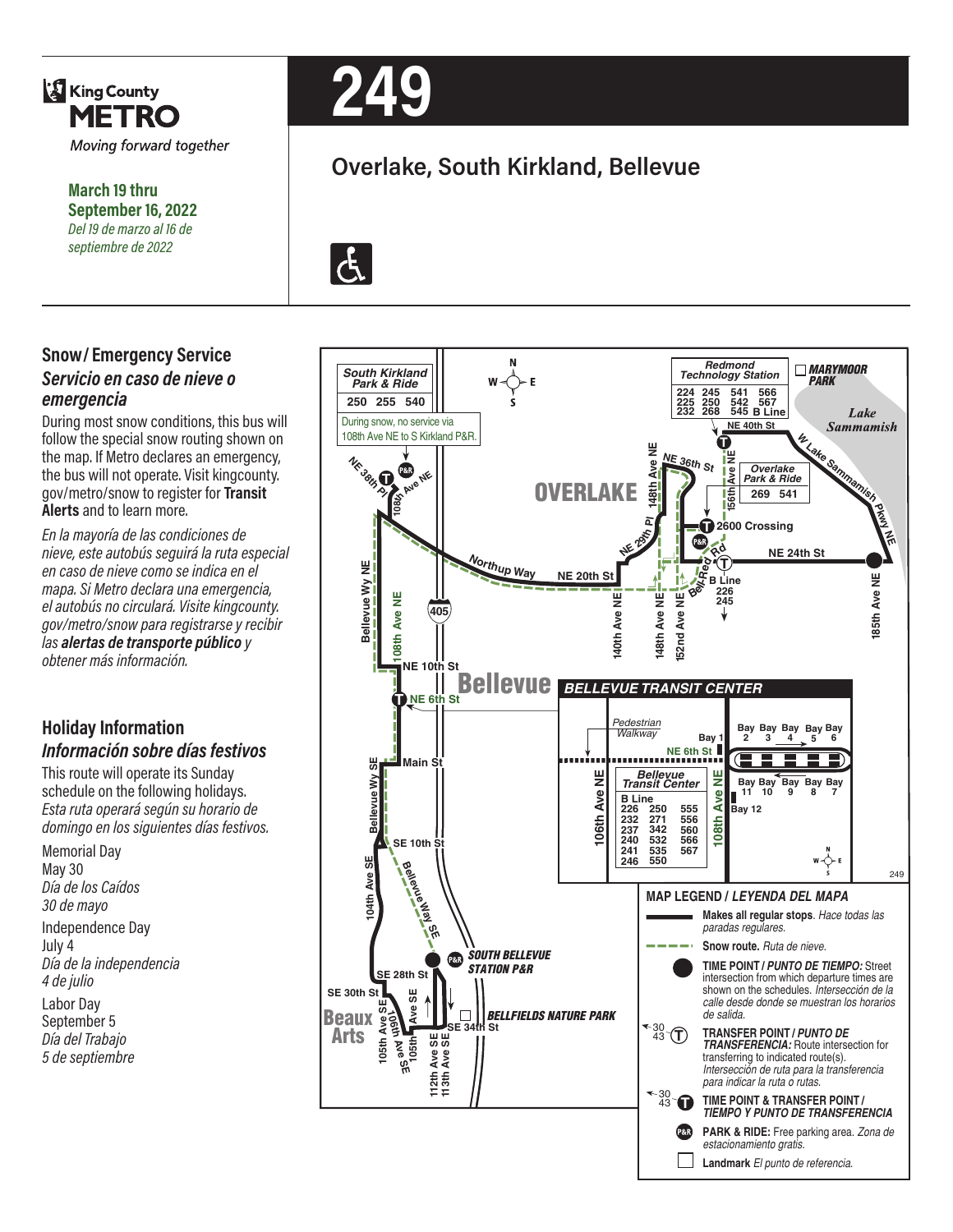

**March 19 thru September 16, 2022** *Del 19 de marzo al 16 de septiembre de 2022*

### **Snow/ Emergency Service**  *Servicio en caso de nieve o emergencia*

During most snow conditions, this bus will follow the special snow routing shown on the map. If Metro declares an emergency, the bus will not operate. Visit kingcounty. gov/metro/snow to register for **Transit Alerts** and to learn more.

*En la mayoría de las condiciones de nieve, este autobús seguirá la ruta especial en caso de nieve como se indica en el mapa. Si Metro declara una emergencia, el autobús no circulará. Visite kingcounty. gov/metro/snow para registrarse y recibir las alertas de transporte público y obtener más información.*

#### **Holiday Information** *Información sobre días festivos*

This route will operate its Sunday schedule on the following holidays. *Esta ruta operará según su horario de domingo en los siguientes días festivos.*

Memorial Day May 30 *Día de los Caídos 30 de mayo* Independence Day July 4 *Día de la independencia 4 de julio* Labor Day September 5 *Día del Trabajo 5 de septiembre*



# **Overlake, South Kirkland, Bellevue**